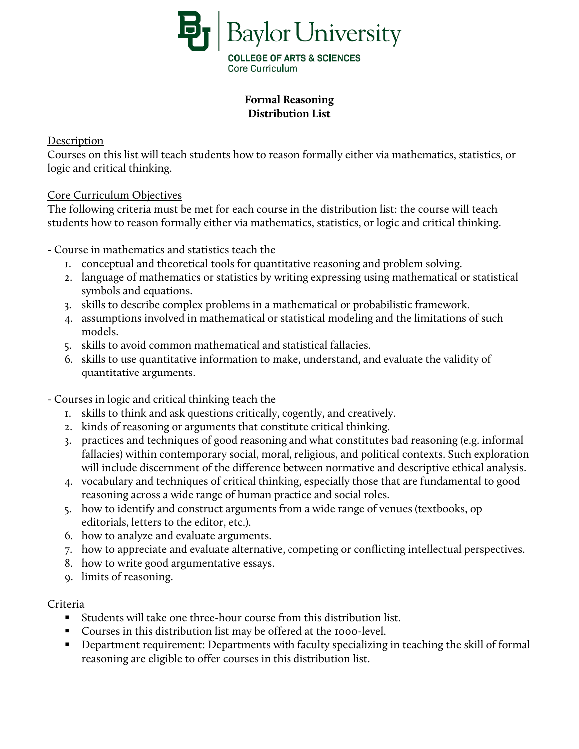

# **Formal Reasoning Distribution List**

## Description

Courses on this list will teach students how to reason formally either via mathematics, statistics, or logic and critical thinking.

## Core Curriculum Objectives

The following criteria must be met for each course in the distribution list: the course will teach students how to reason formally either via mathematics, statistics, or logic and critical thinking.

- Course in mathematics and statistics teach the

- 1. conceptual and theoretical tools for quantitative reasoning and problem solving.
- 2. language of mathematics or statistics by writing expressing using mathematical or statistical symbols and equations.
- 3. skills to describe complex problems in a mathematical or probabilistic framework.
- 4. assumptions involved in mathematical or statistical modeling and the limitations of such models.
- 5. skills to avoid common mathematical and statistical fallacies.
- 6. skills to use quantitative information to make, understand, and evaluate the validity of quantitative arguments.

- Courses in logic and critical thinking teach the

- 1. skills to think and ask questions critically, cogently, and creatively.
- 2. kinds of reasoning or arguments that constitute critical thinking.
- 3. practices and techniques of good reasoning and what constitutes bad reasoning (e.g. informal fallacies) within contemporary social, moral, religious, and political contexts. Such exploration will include discernment of the difference between normative and descriptive ethical analysis.
- 4. vocabulary and techniques of critical thinking, especially those that are fundamental to good reasoning across a wide range of human practice and social roles.
- 5. how to identify and construct arguments from a wide range of venues (textbooks, op editorials, letters to the editor, etc.).
- 6. how to analyze and evaluate arguments.
- 7. how to appreciate and evaluate alternative, competing or conflicting intellectual perspectives.
- 8. how to write good argumentative essays.
- 9. limits of reasoning.

#### Criteria

- Students will take one three-hour course from this distribution list.
- Courses in this distribution list may be offered at the 1000-level.
- **•** Department requirement: Departments with faculty specializing in teaching the skill of formal reasoning are eligible to offer courses in this distribution list.